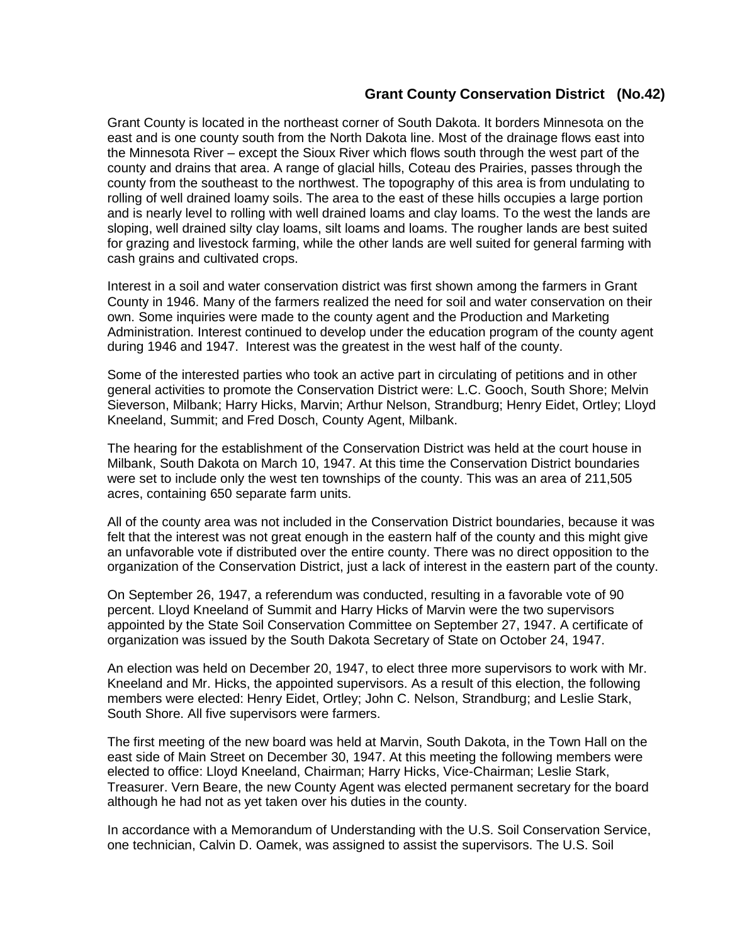## **Grant County Conservation District (No.42)**

Grant County is located in the northeast corner of South Dakota. It borders Minnesota on the east and is one county south from the North Dakota line. Most of the drainage flows east into the Minnesota River – except the Sioux River which flows south through the west part of the county and drains that area. A range of glacial hills, Coteau des Prairies, passes through the county from the southeast to the northwest. The topography of this area is from undulating to rolling of well drained loamy soils. The area to the east of these hills occupies a large portion and is nearly level to rolling with well drained loams and clay loams. To the west the lands are sloping, well drained silty clay loams, silt loams and loams. The rougher lands are best suited for grazing and livestock farming, while the other lands are well suited for general farming with cash grains and cultivated crops.

Interest in a soil and water conservation district was first shown among the farmers in Grant County in 1946. Many of the farmers realized the need for soil and water conservation on their own. Some inquiries were made to the county agent and the Production and Marketing Administration. Interest continued to develop under the education program of the county agent during 1946 and 1947. Interest was the greatest in the west half of the county.

Some of the interested parties who took an active part in circulating of petitions and in other general activities to promote the Conservation District were: L.C. Gooch, South Shore; Melvin Sieverson, Milbank; Harry Hicks, Marvin; Arthur Nelson, Strandburg; Henry Eidet, Ortley; Lloyd Kneeland, Summit; and Fred Dosch, County Agent, Milbank.

The hearing for the establishment of the Conservation District was held at the court house in Milbank, South Dakota on March 10, 1947. At this time the Conservation District boundaries were set to include only the west ten townships of the county. This was an area of 211,505 acres, containing 650 separate farm units.

All of the county area was not included in the Conservation District boundaries, because it was felt that the interest was not great enough in the eastern half of the county and this might give an unfavorable vote if distributed over the entire county. There was no direct opposition to the organization of the Conservation District, just a lack of interest in the eastern part of the county.

On September 26, 1947, a referendum was conducted, resulting in a favorable vote of 90 percent. Lloyd Kneeland of Summit and Harry Hicks of Marvin were the two supervisors appointed by the State Soil Conservation Committee on September 27, 1947. A certificate of organization was issued by the South Dakota Secretary of State on October 24, 1947.

An election was held on December 20, 1947, to elect three more supervisors to work with Mr. Kneeland and Mr. Hicks, the appointed supervisors. As a result of this election, the following members were elected: Henry Eidet, Ortley; John C. Nelson, Strandburg; and Leslie Stark, South Shore. All five supervisors were farmers.

The first meeting of the new board was held at Marvin, South Dakota, in the Town Hall on the east side of Main Street on December 30, 1947. At this meeting the following members were elected to office: Lloyd Kneeland, Chairman; Harry Hicks, Vice-Chairman; Leslie Stark, Treasurer. Vern Beare, the new County Agent was elected permanent secretary for the board although he had not as yet taken over his duties in the county.

In accordance with a Memorandum of Understanding with the U.S. Soil Conservation Service, one technician, Calvin D. Oamek, was assigned to assist the supervisors. The U.S. Soil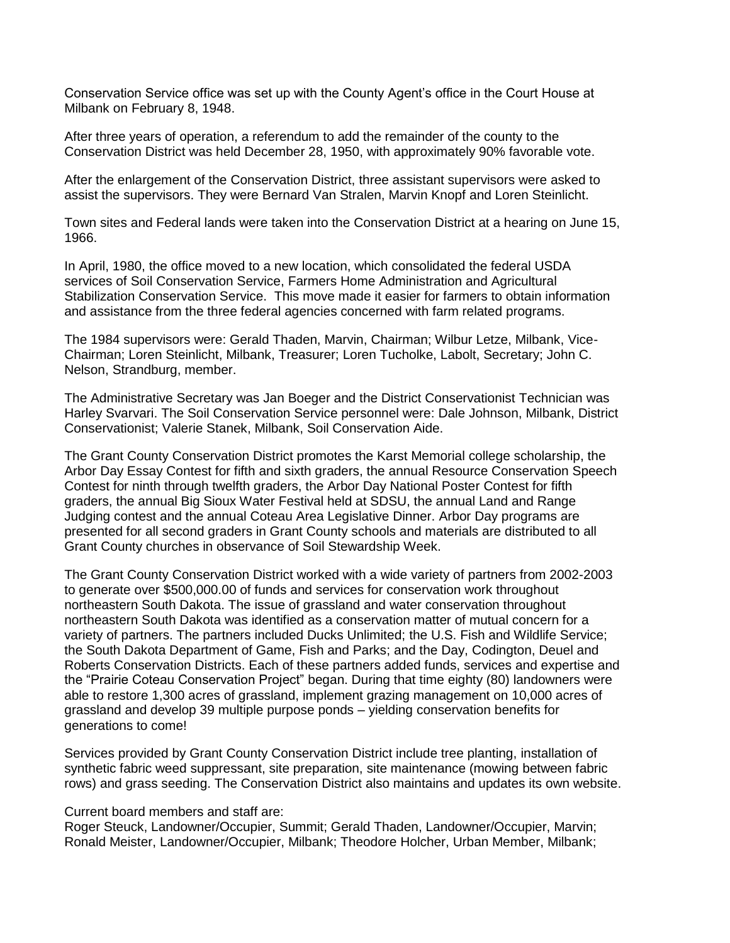Conservation Service office was set up with the County Agent's office in the Court House at Milbank on February 8, 1948.

After three years of operation, a referendum to add the remainder of the county to the Conservation District was held December 28, 1950, with approximately 90% favorable vote.

After the enlargement of the Conservation District, three assistant supervisors were asked to assist the supervisors. They were Bernard Van Stralen, Marvin Knopf and Loren Steinlicht.

Town sites and Federal lands were taken into the Conservation District at a hearing on June 15, 1966.

In April, 1980, the office moved to a new location, which consolidated the federal USDA services of Soil Conservation Service, Farmers Home Administration and Agricultural Stabilization Conservation Service. This move made it easier for farmers to obtain information and assistance from the three federal agencies concerned with farm related programs.

The 1984 supervisors were: Gerald Thaden, Marvin, Chairman; Wilbur Letze, Milbank, Vice-Chairman; Loren Steinlicht, Milbank, Treasurer; Loren Tucholke, Labolt, Secretary; John C. Nelson, Strandburg, member.

The Administrative Secretary was Jan Boeger and the District Conservationist Technician was Harley Svarvari. The Soil Conservation Service personnel were: Dale Johnson, Milbank, District Conservationist; Valerie Stanek, Milbank, Soil Conservation Aide.

The Grant County Conservation District promotes the Karst Memorial college scholarship, the Arbor Day Essay Contest for fifth and sixth graders, the annual Resource Conservation Speech Contest for ninth through twelfth graders, the Arbor Day National Poster Contest for fifth graders, the annual Big Sioux Water Festival held at SDSU, the annual Land and Range Judging contest and the annual Coteau Area Legislative Dinner. Arbor Day programs are presented for all second graders in Grant County schools and materials are distributed to all Grant County churches in observance of Soil Stewardship Week.

The Grant County Conservation District worked with a wide variety of partners from 2002-2003 to generate over \$500,000.00 of funds and services for conservation work throughout northeastern South Dakota. The issue of grassland and water conservation throughout northeastern South Dakota was identified as a conservation matter of mutual concern for a variety of partners. The partners included Ducks Unlimited; the U.S. Fish and Wildlife Service; the South Dakota Department of Game, Fish and Parks; and the Day, Codington, Deuel and Roberts Conservation Districts. Each of these partners added funds, services and expertise and the "Prairie Coteau Conservation Project" began. During that time eighty (80) landowners were able to restore 1,300 acres of grassland, implement grazing management on 10,000 acres of grassland and develop 39 multiple purpose ponds – yielding conservation benefits for generations to come!

Services provided by Grant County Conservation District include tree planting, installation of synthetic fabric weed suppressant, site preparation, site maintenance (mowing between fabric rows) and grass seeding. The Conservation District also maintains and updates its own website.

## Current board members and staff are:

Roger Steuck, Landowner/Occupier, Summit; Gerald Thaden, Landowner/Occupier, Marvin; Ronald Meister, Landowner/Occupier, Milbank; Theodore Holcher, Urban Member, Milbank;